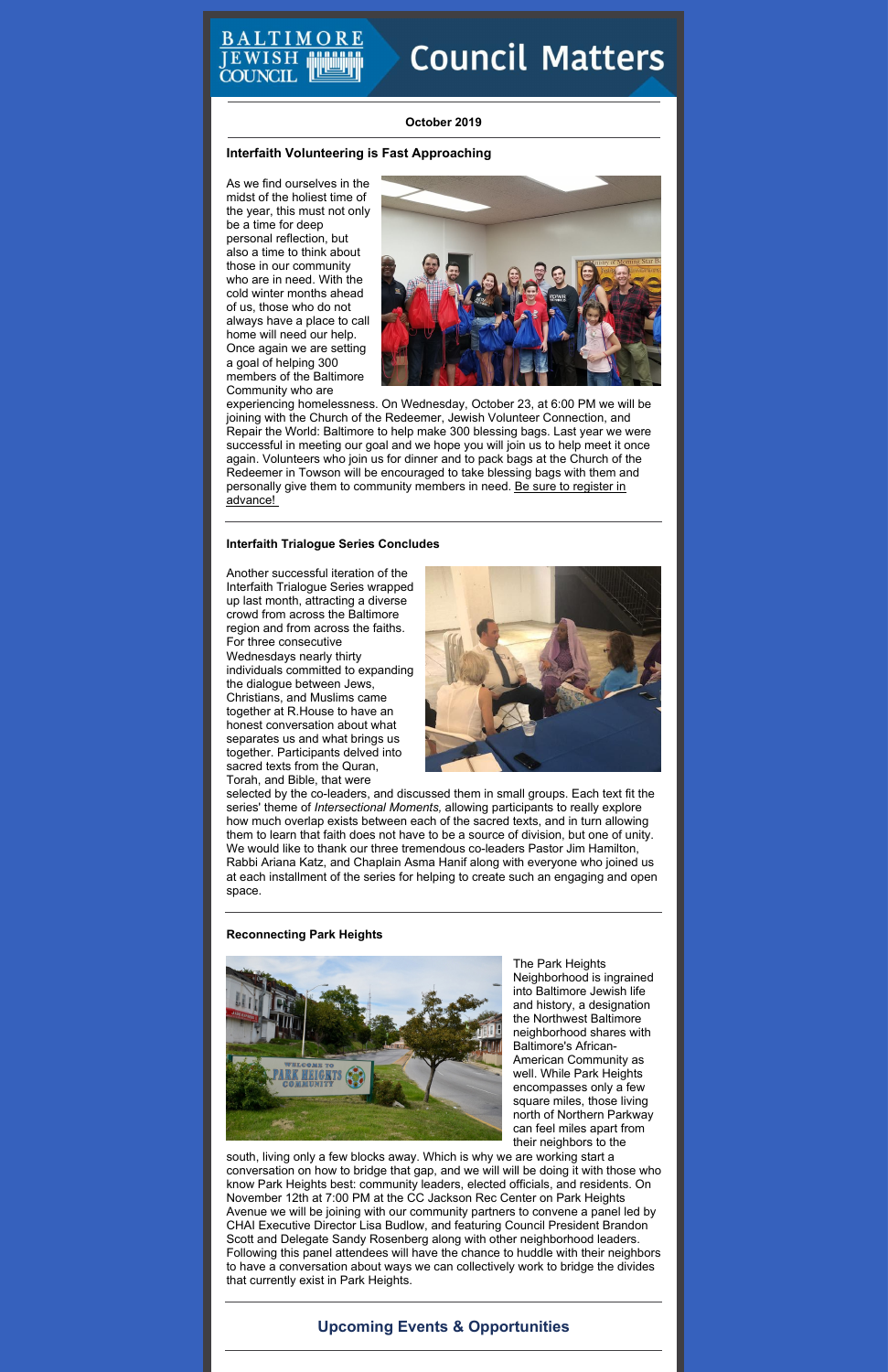# **Council Matters**

# **October 2019**

# **Interfaith Volunteering is Fast Approaching**

As we find ourselves in the midst of the holiest time of the year, this must not only be a time for deep personal reflection, but also a time to think about those in our community who are in need. With the cold winter months ahead of us, those who do not always have a place to call home will need our help. Once again we are setting a goal of helping 300 members of the Baltimore Community who are



experiencing homelessness. On Wednesday, October 23, at 6:00 PM we will be joining with the Church of the Redeemer, Jewish Volunteer Connection, and Repair the World: Baltimore to help make 300 blessing bags. Last year we were successful in meeting our goal and we hope you will join us to help meet it once again. Volunteers who join us for dinner and to pack bags at the Church of the Redeemer in Towson will be encouraged to take blessing bags with them and personally give them to [community](https://www.picatic.com/blessingbags) members in need. Be sure to register in advance!

# **Interfaith Trialogue Series Concludes**

Another successful iteration of the Interfaith Trialogue Series wrapped up last month, attracting a diverse crowd from across the Baltimore region and from across the faiths. For three consecutive Wednesdays nearly thirty individuals committed to expanding the dialogue between Jews, Christians, and Muslims came together at R.House to have an honest conversation about what separates us and what brings us together. Participants delved into sacred texts from the Quran, Torah, and Bible, that were



selected by the co-leaders, and discussed them in small groups. Each text fit the series' theme of *Intersectional Moments,* allowing participants to really explore how much overlap exists between each of the sacred texts, and in turn allowing them to learn that faith does not have to be a source of division, but one of unity. We would like to thank our three tremendous co-leaders Pastor Jim Hamilton, Rabbi Ariana Katz, and Chaplain Asma Hanif along with everyone who joined us at each installment of the series for helping to create such an engaging and open space.

# **Reconnecting Park Heights**



The Park Heights Neighborhood is ingrained into Baltimore Jewish life and history, a designation the Northwest Baltimore neighborhood shares with Baltimore's African-American Community as well. While Park Heights encompasses only a few square miles, those living north of Northern Parkway can feel miles apart from their neighbors to the south, living only a few blocks away. Which is why we are working start a conversation on how to bridge that gap, and we will will be doing it with those who know Park Heights best: community leaders, elected officials, and residents. On November 12th at 7:00 PM at the CC Jackson Rec Center on Park Heights Avenue we will be joining with our community partners to convene a panel led by CHAI Executive Director Lisa Budlow, and featuring Council President Brandon Scott and Delegate Sandy Rosenberg along with other neighborhood leaders. Following this panel attendees will have the chance to huddle with their neighbors to have a conversation about ways we can collectively work to bridge the divides that currently exist in Park Heights.

# **Upcoming Events & Opportunities**